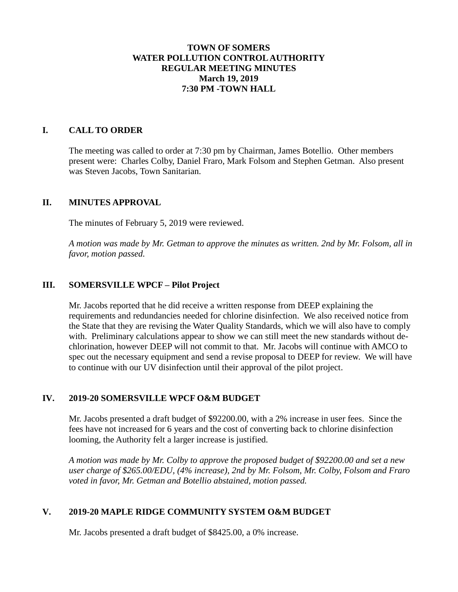### **TOWN OF SOMERS WATER POLLUTION CONTROL AUTHORITY REGULAR MEETING MINUTES March 19, 2019 7:30 PM -TOWN HALL**

#### **I. CALL TO ORDER**

The meeting was called to order at 7:30 pm by Chairman, James Botellio. Other members present were: Charles Colby, Daniel Fraro, Mark Folsom and Stephen Getman. Also present was Steven Jacobs, Town Sanitarian.

#### **II. MINUTES APPROVAL**

The minutes of February 5, 2019 were reviewed.

*A motion was made by Mr. Getman to approve the minutes as written. 2nd by Mr. Folsom, all in favor, motion passed.*

### **III. SOMERSVILLE WPCF – Pilot Project**

Mr. Jacobs reported that he did receive a written response from DEEP explaining the requirements and redundancies needed for chlorine disinfection. We also received notice from the State that they are revising the Water Quality Standards, which we will also have to comply with. Preliminary calculations appear to show we can still meet the new standards without dechlorination, however DEEP will not commit to that. Mr. Jacobs will continue with AMCO to spec out the necessary equipment and send a revise proposal to DEEP for review. We will have to continue with our UV disinfection until their approval of the pilot project.

## **IV. 2019-20 SOMERSVILLE WPCF O&M BUDGET**

Mr. Jacobs presented a draft budget of \$92200.00, with a 2% increase in user fees. Since the fees have not increased for 6 years and the cost of converting back to chlorine disinfection looming, the Authority felt a larger increase is justified.

*A motion was made by Mr. Colby to approve the proposed budget of \$92200.00 and set a new user charge of \$265.00/EDU, (4% increase), 2nd by Mr. Folsom, Mr. Colby, Folsom and Fraro voted in favor, Mr. Getman and Botellio abstained, motion passed.*

## **V. 2019-20 MAPLE RIDGE COMMUNITY SYSTEM O&M BUDGET**

Mr. Jacobs presented a draft budget of \$8425.00, a 0% increase.